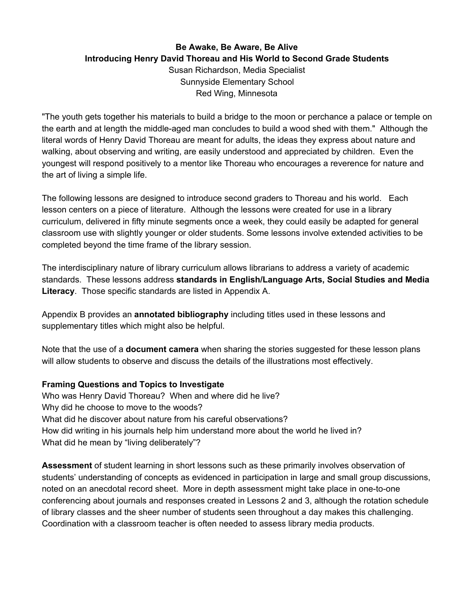# **Be Awake, Be Aware, Be Alive Introducing Henry David Thoreau and His World to Second Grade Students** Susan Richardson, Media Specialist Sunnyside Elementary School Red Wing, Minnesota

"The youth gets together his materials to build a bridge to the moon or perchance a palace or temple on the earth and at length the middle-aged man concludes to build a wood shed with them." Although the literal words of Henry David Thoreau are meant for adults, the ideas they express about nature and walking, about observing and writing, are easily understood and appreciated by children. Even the youngest will respond positively to a mentor like Thoreau who encourages a reverence for nature and the art of living a simple life.

The following lessons are designed to introduce second graders to Thoreau and his world. Each lesson centers on a piece of literature. Although the lessons were created for use in a library curriculum, delivered in fifty minute segments once a week, they could easily be adapted for general classroom use with slightly younger or older students. Some lessons involve extended activities to be completed beyond the time frame of the library session.

The interdisciplinary nature of library curriculum allows librarians to address a variety of academic standards. These lessons address **standards in English/Language Arts, Social Studies and Media Literacy**. Those specific standards are listed in Appendix A.

Appendix B provides an **annotated bibliography** including titles used in these lessons and supplementary titles which might also be helpful.

Note that the use of a **document camera** when sharing the stories suggested for these lesson plans will allow students to observe and discuss the details of the illustrations most effectively.

### **Framing Questions and Topics to Investigate**

Who was Henry David Thoreau? When and where did he live? Why did he choose to move to the woods? What did he discover about nature from his careful observations? How did writing in his journals help him understand more about the world he lived in? What did he mean by "living deliberately"?

**Assessment** of student learning in short lessons such as these primarily involves observation of students' understanding of concepts as evidenced in participation in large and small group discussions, noted on an anecdotal record sheet. More in depth assessment might take place in one-to-one conferencing about journals and responses created in Lessons 2 and 3, although the rotation schedule of library classes and the sheer number of students seen throughout a day makes this challenging. Coordination with a classroom teacher is often needed to assess library media products.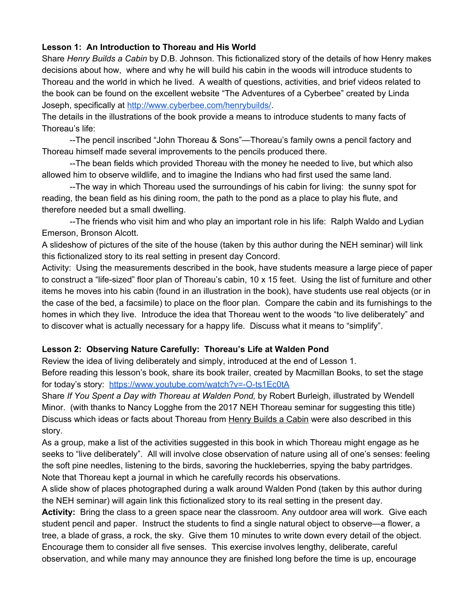# **Lesson 1: An Introduction to Thoreau and His World**

Share *Henry Builds a Cabin* by D.B. Johnson. This fictionalized story of the details of how Henry makes decisions about how, where and why he will build his cabin in the woods will introduce students to Thoreau and the world in which he lived. A wealth of questions, activities, and brief videos related to the book can be found on the excellent website "The Adventures of a Cyberbee" created by Linda Joseph, specifically a[t](http://www.cyberbee.com/henrybuilds/) [http://www.cyberbee.com/henrybuilds/.](http://www.cyberbee.com/henrybuilds/)

The details in the illustrations of the book provide a means to introduce students to many facts of Thoreau's life:

--The pencil inscribed "John Thoreau & Sons"—Thoreau's family owns a pencil factory and Thoreau himself made several improvements to the pencils produced there.

--The bean fields which provided Thoreau with the money he needed to live, but which also allowed him to observe wildlife, and to imagine the Indians who had first used the same land.

--The way in which Thoreau used the surroundings of his cabin for living: the sunny spot for reading, the bean field as his dining room, the path to the pond as a place to play his flute, and therefore needed but a small dwelling.

--The friends who visit him and who play an important role in his life: Ralph Waldo and Lydian Emerson, Bronson Alcott.

A slideshow of pictures of the site of the house (taken by this author during the NEH seminar) will link this fictionalized story to its real setting in present day Concord.

Activity: Using the measurements described in the book, have students measure a large piece of paper to construct a "life-sized" floor plan of Thoreau's cabin, 10 x 15 feet. Using the list of furniture and other items he moves into his cabin (found in an illustration in the book), have students use real objects (or in the case of the bed, a facsimile) to place on the floor plan. Compare the cabin and its furnishings to the homes in which they live. Introduce the idea that Thoreau went to the woods "to live deliberately" and to discover what is actually necessary for a happy life. Discuss what it means to "simplify".

### **Lesson 2: Observing Nature Carefully: Thoreau's Life at Walden Pond**

Review the idea of living deliberately and simply, introduced at the end of Lesson 1.

Before reading this lesson's book, share its book trailer, created by Macmillan Books, to set the stage for today's story: <https://www.youtube.com/watch?v=-O-ts1Ec0tA>

Share *If You Spent a Day with Thoreau at Walden Pond,* by Robert Burleigh, illustrated by Wendell Minor. (with thanks to Nancy Logghe from the 2017 NEH Thoreau seminar for suggesting this title) Discuss which ideas or facts about Thoreau from Henry Builds a Cabin were also described in this story.

As a group, make a list of the activities suggested in this book in which Thoreau might engage as he seeks to "live deliberately". All will involve close observation of nature using all of one's senses: feeling the soft pine needles, listening to the birds, savoring the huckleberries, spying the baby partridges. Note that Thoreau kept a journal in which he carefully records his observations.

A slide show of places photographed during a walk around Walden Pond (taken by this author during the NEH seminar) will again link this fictionalized story to its real setting in the present day.

**Activity:** Bring the class to a green space near the classroom. Any outdoor area will work. Give each student pencil and paper. Instruct the students to find a single natural object to observe—a flower, a tree, a blade of grass, a rock, the sky. Give them 10 minutes to write down every detail of the object. Encourage them to consider all five senses. This exercise involves lengthy, deliberate, careful observation, and while many may announce they are finished long before the time is up, encourage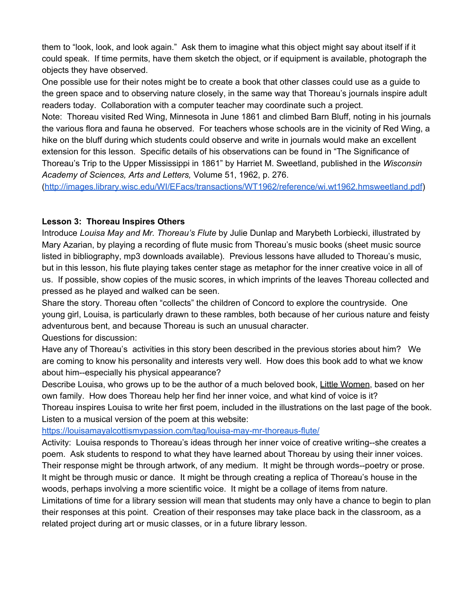them to "look, look, and look again." Ask them to imagine what this object might say about itself if it could speak. If time permits, have them sketch the object, or if equipment is available, photograph the objects they have observed.

One possible use for their notes might be to create a book that other classes could use as a guide to the green space and to observing nature closely, in the same way that Thoreau's journals inspire adult readers today. Collaboration with a computer teacher may coordinate such a project.

Note: Thoreau visited Red Wing, Minnesota in June 1861 and climbed Barn Bluff, noting in his journals the various flora and fauna he observed. For teachers whose schools are in the vicinity of Red Wing, a hike on the bluff during which students could observe and write in journals would make an excellent extension for this lesson. Specific details of his observations can be found in "The Significance of Thoreau's Trip to the Upper Mississippi in 1861" by Harriet M. Sweetland, published in the *Wisconsin Academy of Sciences, Arts and Letters,* Volume 51, 1962, p. 276.

[\(http://images.library.wisc.edu/WI/EFacs/transactions/WT1962/reference/wi.wt1962.hmsweetland.pdf\)](http://images.library.wisc.edu/WI/EFacs/transactions/WT1962/reference/wi.wt1962.hmsweetland.pdf)

#### **Lesson 3: Thoreau Inspires Others**

Introduce *Louisa May and Mr. Thoreau's Flute* by Julie Dunlap and Marybeth Lorbiecki, illustrated by Mary Azarian, by playing a recording of flute music from Thoreau's music books (sheet music source listed in bibliography, mp3 downloads available). Previous lessons have alluded to Thoreau's music, but in this lesson, his flute playing takes center stage as metaphor for the inner creative voice in all of us. If possible, show copies of the music scores, in which imprints of the leaves Thoreau collected and pressed as he played and walked can be seen.

Share the story. Thoreau often "collects" the children of Concord to explore the countryside. One young girl, Louisa, is particularly drawn to these rambles, both because of her curious nature and feisty adventurous bent, and because Thoreau is such an unusual character.

Questions for discussion:

Have any of Thoreau's activities in this story been described in the previous stories about him? We are coming to know his personality and interests very well. How does this book add to what we know about him--especially his physical appearance?

Describe Louisa, who grows up to be the author of a much beloved book, Little Women, based on her own family. How does Thoreau help her find her inner voice, and what kind of voice is it? Thoreau inspires Louisa to write her first poem, included in the illustrations on the last page of the book. Listen to a musical version of the poem at this website:

<https://louisamayalcottismypassion.com/tag/louisa-may-mr-thoreaus-flute/>

Activity: Louisa responds to Thoreau's ideas through her inner voice of creative writing--she creates a poem. Ask students to respond to what they have learned about Thoreau by using their inner voices. Their response might be through artwork, of any medium. It might be through words--poetry or prose. It might be through music or dance. It might be through creating a replica of Thoreau's house in the woods, perhaps involving a more scientific voice. It might be a collage of items from nature.

Limitations of time for a library session will mean that students may only have a chance to begin to plan their responses at this point. Creation of their responses may take place back in the classroom, as a related project during art or music classes, or in a future library lesson.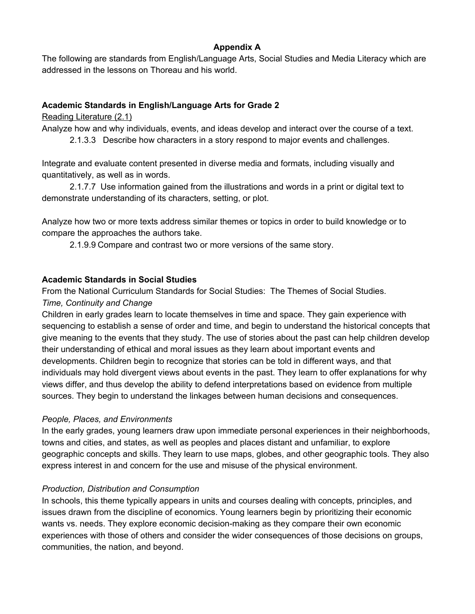### **Appendix A**

The following are standards from English/Language Arts, Social Studies and Media Literacy which are addressed in the lessons on Thoreau and his world.

# **Academic Standards in English/Language Arts for Grade 2**

Reading Literature (2.1)

Analyze how and why individuals, events, and ideas develop and interact over the course of a text.

2.1.3.3 Describe how characters in a story respond to major events and challenges.

Integrate and evaluate content presented in diverse media and formats, including visually and quantitatively, as well as in words.

2.1.7.7 Use information gained from the illustrations and words in a print or digital text to demonstrate understanding of its characters, setting, or plot.

Analyze how two or more texts address similar themes or topics in order to build knowledge or to compare the approaches the authors take.

2.1.9.9 Compare and contrast two or more versions of the same story.

# **Academic Standards in Social Studies**

From the National Curriculum Standards for Social Studies: The Themes of Social Studies. *Time, Continuity and Change*

Children in early grades learn to locate themselves in time and space. They gain experience with sequencing to establish a sense of order and time, and begin to understand the historical concepts that give meaning to the events that they study. The use of stories about the past can help children develop their understanding of ethical and moral issues as they learn about important events and developments. Children begin to recognize that stories can be told in different ways, and that individuals may hold divergent views about events in the past. They learn to offer explanations for why views differ, and thus develop the ability to defend interpretations based on evidence from multiple sources. They begin to understand the linkages between human decisions and consequences.

### *People, Places, and Environments*

In the early grades, young learners draw upon immediate personal experiences in their neighborhoods, towns and cities, and states, as well as peoples and places distant and unfamiliar, to explore geographic concepts and skills. They learn to use maps, globes, and other geographic tools. They also express interest in and concern for the use and misuse of the physical environment.

### *Production, Distribution and Consumption*

In schools, this theme typically appears in units and courses dealing with concepts, principles, and issues drawn from the discipline of economics. Young learners begin by prioritizing their economic wants vs. needs. They explore economic decision-making as they compare their own economic experiences with those of others and consider the wider consequences of those decisions on groups, communities, the nation, and beyond.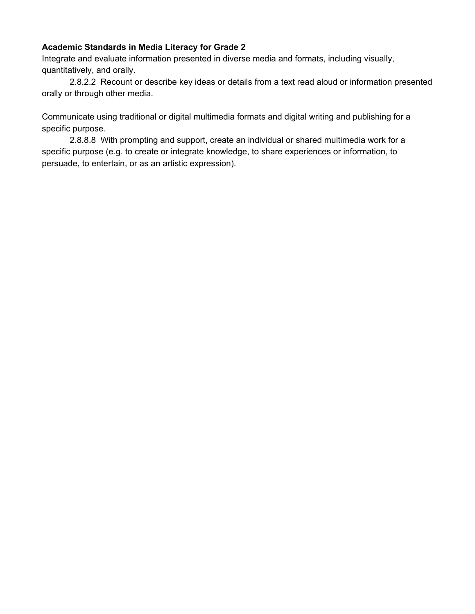#### **Academic Standards in Media Literacy for Grade 2**

Integrate and evaluate information presented in diverse media and formats, including visually, quantitatively, and orally.

2.8.2.2 Recount or describe key ideas or details from a text read aloud or information presented orally or through other media.

Communicate using traditional or digital multimedia formats and digital writing and publishing for a specific purpose.

2.8.8.8 With prompting and support, create an individual or shared multimedia work for a specific purpose (e.g. to create or integrate knowledge, to share experiences or information, to persuade, to entertain, or as an artistic expression).